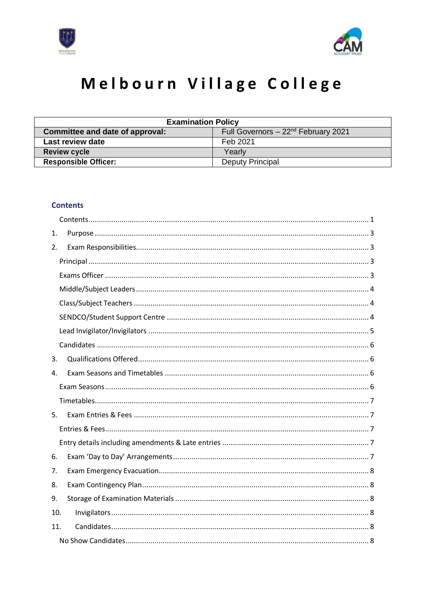



# Melbourn Village College

| <b>Examination Policy</b>                                               |                         |  |
|-------------------------------------------------------------------------|-------------------------|--|
| Full Governors $-22nd$ February 2021<br>Committee and date of approval: |                         |  |
| Last review date<br>Feb 2021                                            |                         |  |
| <b>Review cycle</b>                                                     | Yearly                  |  |
| <b>Responsible Officer:</b>                                             | <b>Deputy Principal</b> |  |

# <span id="page-0-0"></span>**Contents**

| 1.  |  |
|-----|--|
| 2.  |  |
|     |  |
|     |  |
|     |  |
|     |  |
|     |  |
|     |  |
|     |  |
| 3.  |  |
| 4.  |  |
|     |  |
|     |  |
| 5.  |  |
|     |  |
|     |  |
| 6.  |  |
| 7.  |  |
| 8.  |  |
| 9.  |  |
| 10. |  |
| 11. |  |
|     |  |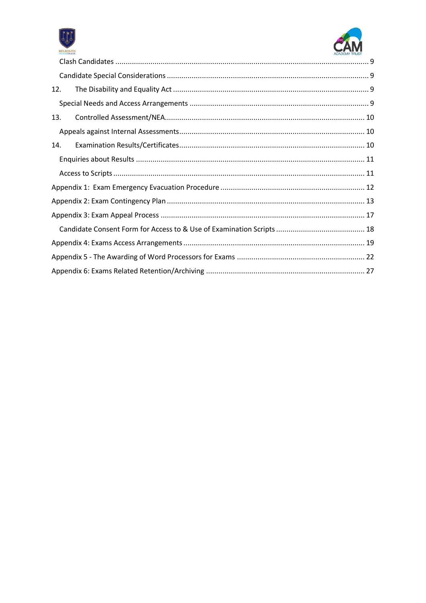



| 12. |  |
|-----|--|
|     |  |
| 13. |  |
|     |  |
| 14. |  |
|     |  |
|     |  |
|     |  |
|     |  |
|     |  |
|     |  |
|     |  |
|     |  |
|     |  |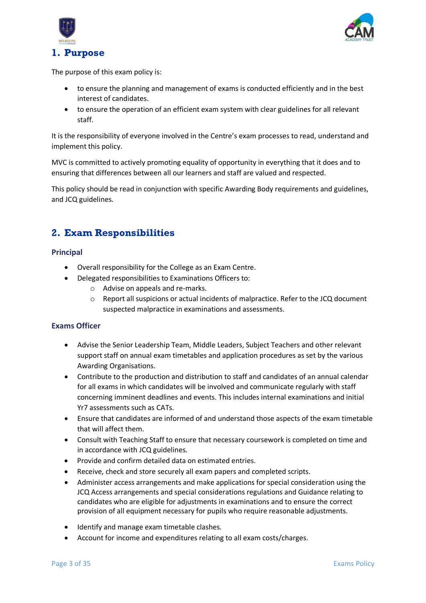



<span id="page-2-0"></span>The purpose of this exam policy is:

- to ensure the planning and management of exams is conducted efficiently and in the best interest of candidates.
- to ensure the operation of an efficient exam system with clear guidelines for all relevant staff.

It is the responsibility of everyone involved in the Centre's exam processes to read, understand and implement this policy.

MVC is committed to actively promoting equality of opportunity in everything that it does and to ensuring that differences between all our learners and staff are valued and respected.

This policy should be read in conjunction with specific Awarding Body requirements and guidelines, and JCQ guidelines.

# <span id="page-2-1"></span>**2. Exam Responsibilities**

# <span id="page-2-2"></span>**Principal**

- Overall responsibility for the College as an Exam Centre.
- Delegated responsibilities to Examinations Officers to:
	- o Advise on appeals and re-marks.
	- o Report all suspicions or actual incidents of malpractice. Refer to the JCQ document suspected malpractice in examinations and assessments.

# <span id="page-2-3"></span>**Exams Officer**

- Advise the Senior Leadership Team, Middle Leaders, Subject Teachers and other relevant support staff on annual exam timetables and application procedures as set by the various Awarding Organisations.
- Contribute to the production and distribution to staff and candidates of an annual calendar for all exams in which candidates will be involved and communicate regularly with staff concerning imminent deadlines and events. This includes internal examinations and initial Yr7 assessments such as CATs.
- Ensure that candidates are informed of and understand those aspects of the exam timetable that will affect them.
- Consult with Teaching Staff to ensure that necessary coursework is completed on time and in accordance with JCQ guidelines.
- Provide and confirm detailed data on estimated entries.
- Receive, check and store securely all exam papers and completed scripts.
- Administer access arrangements and make applications for special consideration using the JCQ Access arrangements and special considerations regulations and Guidance relating to candidates who are eligible for adjustments in examinations and to ensure the correct provision of all equipment necessary for pupils who require reasonable adjustments.
- Identify and manage exam timetable clashes.
- Account for income and expenditures relating to all exam costs/charges.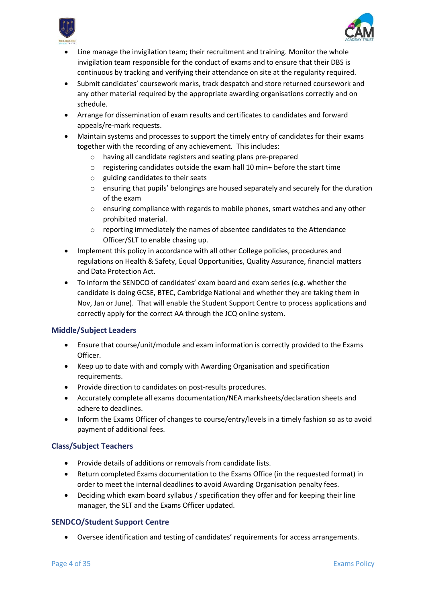



- Line manage the invigilation team; their recruitment and training. Monitor the whole invigilation team responsible for the conduct of exams and to ensure that their DBS is continuous by tracking and verifying their attendance on site at the regularity required.
- Submit candidates' coursework marks, track despatch and store returned coursework and any other material required by the appropriate awarding organisations correctly and on schedule.
- Arrange for dissemination of exam results and certificates to candidates and forward appeals/re-mark requests.
- Maintain systems and processes to support the timely entry of candidates for their exams together with the recording of any achievement. This includes:
	- o having all candidate registers and seating plans pre-prepared
	- o registering candidates outside the exam hall 10 min+ before the start time
	- o guiding candidates to their seats
	- $\circ$  ensuring that pupils' belongings are housed separately and securely for the duration of the exam
	- $\circ$  ensuring compliance with regards to mobile phones, smart watches and any other prohibited material.
	- o reporting immediately the names of absentee candidates to the Attendance Officer/SLT to enable chasing up.
- Implement this policy in accordance with all other College policies, procedures and regulations on Health & Safety, Equal Opportunities, Quality Assurance, financial matters and Data Protection Act.
- To inform the SENDCO of candidates' exam board and exam series (e.g. whether the candidate is doing GCSE, BTEC, Cambridge National and whether they are taking them in Nov, Jan or June). That will enable the Student Support Centre to process applications and correctly apply for the correct AA through the JCQ online system.

# <span id="page-3-0"></span>**Middle/Subject Leaders**

- Ensure that course/unit/module and exam information is correctly provided to the Exams Officer.
- Keep up to date with and comply with Awarding Organisation and specification requirements.
- Provide direction to candidates on post-results procedures.
- Accurately complete all exams documentation/NEA marksheets/declaration sheets and adhere to deadlines.
- Inform the Exams Officer of changes to course/entry/levels in a timely fashion so as to avoid payment of additional fees.

# <span id="page-3-1"></span>**Class/Subject Teachers**

- Provide details of additions or removals from candidate lists.
- Return completed Exams documentation to the Exams Office (in the requested format) in order to meet the internal deadlines to avoid Awarding Organisation penalty fees.
- Deciding which exam board syllabus / specification they offer and for keeping their line manager, the SLT and the Exams Officer updated.

# <span id="page-3-2"></span>**SENDCO/Student Support Centre**

• Oversee identification and testing of candidates' requirements for access arrangements.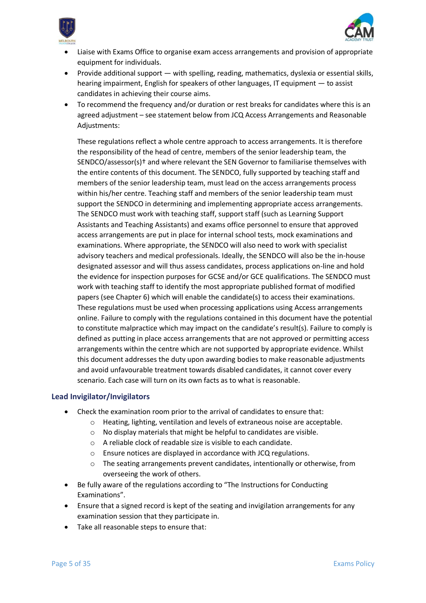



- Liaise with Exams Office to organise exam access arrangements and provision of appropriate equipment for individuals.
- Provide additional support with spelling, reading, mathematics, dyslexia or essential skills, hearing impairment, English for speakers of other languages, IT equipment — to assist candidates in achieving their course aims.
- To recommend the frequency and/or duration or rest breaks for candidates where this is an agreed adjustment – see statement below from JCQ Access Arrangements and Reasonable Adjustments:

These regulations reflect a whole centre approach to access arrangements. It is therefore the responsibility of the head of centre, members of the senior leadership team, the SENDCO/assessor(s)† and where relevant the SEN Governor to familiarise themselves with the entire contents of this document. The SENDCO, fully supported by teaching staff and members of the senior leadership team, must lead on the access arrangements process within his/her centre. Teaching staff and members of the senior leadership team must support the SENDCO in determining and implementing appropriate access arrangements. The SENDCO must work with teaching staff, support staff (such as Learning Support Assistants and Teaching Assistants) and exams office personnel to ensure that approved access arrangements are put in place for internal school tests, mock examinations and examinations. Where appropriate, the SENDCO will also need to work with specialist advisory teachers and medical professionals. Ideally, the SENDCO will also be the in-house designated assessor and will thus assess candidates, process applications on-line and hold the evidence for inspection purposes for GCSE and/or GCE qualifications. The SENDCO must work with teaching staff to identify the most appropriate published format of modified papers (see Chapter 6) which will enable the candidate(s) to access their examinations. These regulations must be used when processing applications using Access arrangements online. Failure to comply with the regulations contained in this document have the potential to constitute malpractice which may impact on the candidate's result(s). Failure to comply is defined as putting in place access arrangements that are not approved or permitting access arrangements within the centre which are not supported by appropriate evidence. Whilst this document addresses the duty upon awarding bodies to make reasonable adjustments and avoid unfavourable treatment towards disabled candidates, it cannot cover every scenario. Each case will turn on its own facts as to what is reasonable.

# <span id="page-4-0"></span>**Lead Invigilator/Invigilators**

- Check the examination room prior to the arrival of candidates to ensure that:
	- o Heating, lighting, ventilation and levels of extraneous noise are acceptable.
	- o No display materials that might be helpful to candidates are visible.
	- o A reliable clock of readable size is visible to each candidate.
	- o Ensure notices are displayed in accordance with JCQ regulations.
	- $\circ$  The seating arrangements prevent candidates, intentionally or otherwise, from overseeing the work of others.
- Be fully aware of the regulations according to "The Instructions for Conducting Examinations".
- Ensure that a signed record is kept of the seating and invigilation arrangements for any examination session that they participate in.
- Take all reasonable steps to ensure that: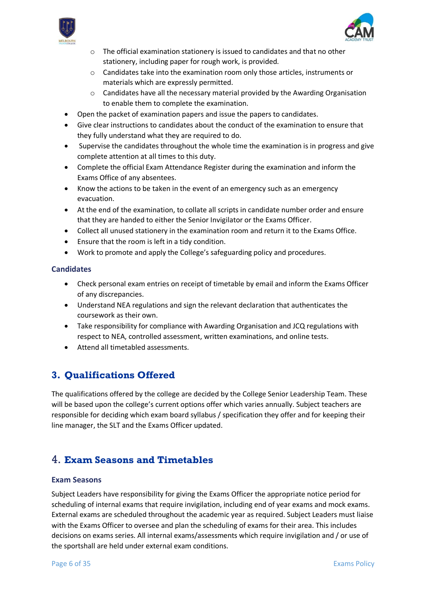



- $\circ$  The official examination stationery is issued to candidates and that no other stationery, including paper for rough work, is provided.
- o Candidates take into the examination room only those articles, instruments or materials which are expressly permitted.
- $\circ$  Candidates have all the necessary material provided by the Awarding Organisation to enable them to complete the examination.
- Open the packet of examination papers and issue the papers to candidates.
- Give clear instructions to candidates about the conduct of the examination to ensure that they fully understand what they are required to do.
- Supervise the candidates throughout the whole time the examination is in progress and give complete attention at all times to this duty.
- Complete the official Exam Attendance Register during the examination and inform the Exams Office of any absentees.
- Know the actions to be taken in the event of an emergency such as an emergency evacuation.
- At the end of the examination, to collate all scripts in candidate number order and ensure that they are handed to either the Senior Invigilator or the Exams Officer.
- Collect all unused stationery in the examination room and return it to the Exams Office.
- Ensure that the room is left in a tidy condition.
- Work to promote and apply the College's safeguarding policy and procedures.

# <span id="page-5-0"></span>**Candidates**

- Check personal exam entries on receipt of timetable by email and inform the Exams Officer of any discrepancies.
- Understand NEA regulations and sign the relevant declaration that authenticates the coursework as their own.
- Take responsibility for compliance with Awarding Organisation and JCQ regulations with respect to NEA, controlled assessment, written examinations, and online tests.
- Attend all timetabled assessments.

# <span id="page-5-1"></span>**3. Qualifications Offered**

The qualifications offered by the college are decided by the College Senior Leadership Team. These will be based upon the college's current options offer which varies annually. Subject teachers are responsible for deciding which exam board syllabus / specification they offer and for keeping their line manager, the SLT and the Exams Officer updated.

# <span id="page-5-2"></span>4. **Exam Seasons and Timetables**

# <span id="page-5-3"></span>**Exam Seasons**

Subject Leaders have responsibility for giving the Exams Officer the appropriate notice period for scheduling of internal exams that require invigilation, including end of year exams and mock exams. External exams are scheduled throughout the academic year as required. Subject Leaders must liaise with the Exams Officer to oversee and plan the scheduling of exams for their area. This includes decisions on exams series. All internal exams/assessments which require invigilation and / or use of the sportshall are held under external exam conditions.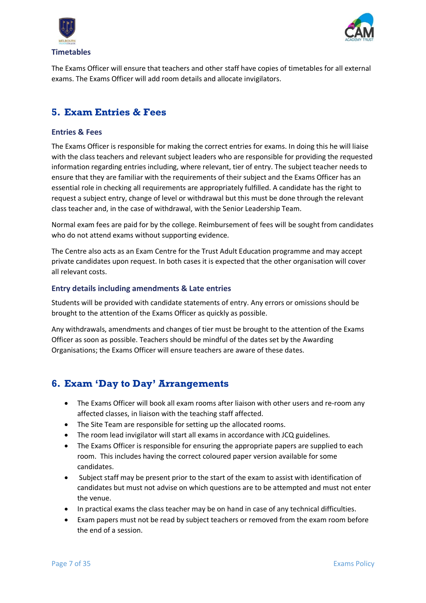



<span id="page-6-0"></span>The Exams Officer will ensure that teachers and other staff have copies of timetables for all external exams. The Exams Officer will add room details and allocate invigilators.

# <span id="page-6-1"></span>**5. Exam Entries & Fees**

# <span id="page-6-2"></span>**Entries & Fees**

The Exams Officer is responsible for making the correct entries for exams. In doing this he will liaise with the class teachers and relevant subject leaders who are responsible for providing the requested information regarding entries including, where relevant, tier of entry. The subject teacher needs to ensure that they are familiar with the requirements of their subject and the Exams Officer has an essential role in checking all requirements are appropriately fulfilled. A candidate has the right to request a subject entry, change of level or withdrawal but this must be done through the relevant class teacher and, in the case of withdrawal, with the Senior Leadership Team.

Normal exam fees are paid for by the college. Reimbursement of fees will be sought from candidates who do not attend exams without supporting evidence.

The Centre also acts as an Exam Centre for the Trust Adult Education programme and may accept private candidates upon request. In both cases it is expected that the other organisation will cover all relevant costs.

# <span id="page-6-3"></span>**Entry details including amendments & Late entries**

Students will be provided with candidate statements of entry. Any errors or omissions should be brought to the attention of the Exams Officer as quickly as possible.

Any withdrawals, amendments and changes of tier must be brought to the attention of the Exams Officer as soon as possible. Teachers should be mindful of the dates set by the Awarding Organisations; the Exams Officer will ensure teachers are aware of these dates.

# <span id="page-6-4"></span>**6. Exam 'Day to Day' Arrangements**

- The Exams Officer will book all exam rooms after liaison with other users and re-room any affected classes, in liaison with the teaching staff affected.
- The Site Team are responsible for setting up the allocated rooms.
- The room lead invigilator will start all exams in accordance with JCQ guidelines.
- The Exams Officer is responsible for ensuring the appropriate papers are supplied to each room. This includes having the correct coloured paper version available for some candidates.
- Subject staff may be present prior to the start of the exam to assist with identification of candidates but must not advise on which questions are to be attempted and must not enter the venue.
- In practical exams the class teacher may be on hand in case of any technical difficulties.
- Exam papers must not be read by subject teachers or removed from the exam room before the end of a session.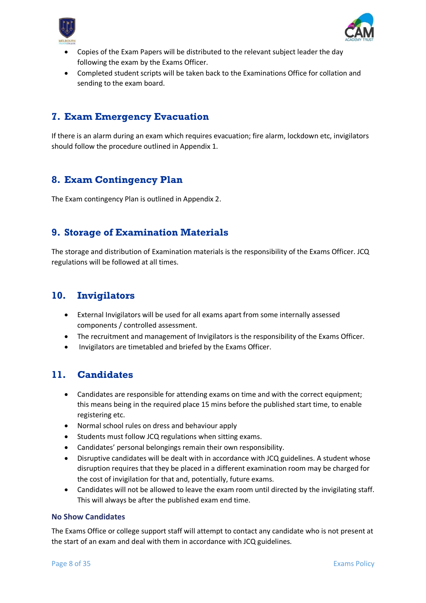



- Copies of the Exam Papers will be distributed to the relevant subject leader the day following the exam by the Exams Officer.
- Completed student scripts will be taken back to the Examinations Office for collation and sending to the exam board.

# <span id="page-7-0"></span>**7. Exam Emergency Evacuation**

If there is an alarm during an exam which requires evacuation; fire alarm, lockdown etc, invigilators should follow the procedure outlined in Appendix 1.

# <span id="page-7-1"></span>**8. Exam Contingency Plan**

The Exam contingency Plan is outlined in Appendix 2.

# <span id="page-7-2"></span>**9. Storage of Examination Materials**

The storage and distribution of Examination materials is the responsibility of the Exams Officer. JCQ regulations will be followed at all times.

# <span id="page-7-3"></span>**10. Invigilators**

- External Invigilators will be used for all exams apart from some internally assessed components / controlled assessment.
- The recruitment and management of Invigilators is the responsibility of the Exams Officer.
- Invigilators are timetabled and briefed by the Exams Officer.

# <span id="page-7-4"></span>**11. Candidates**

- Candidates are responsible for attending exams on time and with the correct equipment; this means being in the required place 15 mins before the published start time, to enable registering etc.
- Normal school rules on dress and behaviour apply
- Students must follow JCQ regulations when sitting exams.
- Candidates' personal belongings remain their own responsibility.
- Disruptive candidates will be dealt with in accordance with JCQ guidelines. A student whose disruption requires that they be placed in a different examination room may be charged for the cost of invigilation for that and, potentially, future exams.
- Candidates will not be allowed to leave the exam room until directed by the invigilating staff. This will always be after the published exam end time.

# <span id="page-7-5"></span>**No Show Candidates**

The Exams Office or college support staff will attempt to contact any candidate who is not present at the start of an exam and deal with them in accordance with JCQ guidelines.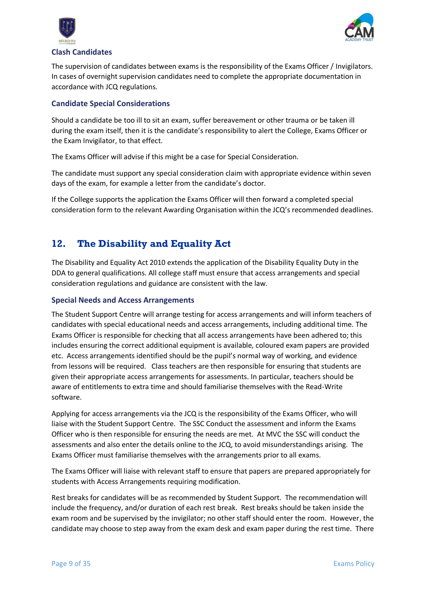



# <span id="page-8-0"></span>**Clash Candidates**

The supervision of candidates between exams is the responsibility of the Exams Officer / Invigilators. In cases of overnight supervision candidates need to complete the appropriate documentation in accordance with JCQ regulations.

# <span id="page-8-1"></span>**Candidate Special Considerations**

Should a candidate be too ill to sit an exam, suffer bereavement or other trauma or be taken ill during the exam itself, then it is the candidate's responsibility to alert the College, Exams Officer or the Exam Invigilator, to that effect.

The Exams Officer will advise if this might be a case for Special Consideration.

The candidate must support any special consideration claim with appropriate evidence within seven days of the exam, for example a letter from the candidate's doctor.

If the College supports the application the Exams Officer will then forward a completed special consideration form to the relevant Awarding Organisation within the JCQ's recommended deadlines.

# <span id="page-8-2"></span>**12. The Disability and Equality Act**

The Disability and Equality Act 2010 extends the application of the Disability Equality Duty in the DDA to general qualifications. All college staff must ensure that access arrangements and special consideration regulations and guidance are consistent with the law.

# <span id="page-8-3"></span>**Special Needs and Access Arrangements**

The Student Support Centre will arrange testing for access arrangements and will inform teachers of candidates with special educational needs and access arrangements, including additional time. The Exams Officer is responsible for checking that all access arrangements have been adhered to; this includes ensuring the correct additional equipment is available, coloured exam papers are provided etc. Access arrangements identified should be the pupil's normal way of working, and evidence from lessons will be required. Class teachers are then responsible for ensuring that students are given their appropriate access arrangements for assessments. In particular, teachers should be aware of entitlements to extra time and should familiarise themselves with the Read-Write software.

Applying for access arrangements via the JCQ is the responsibility of the Exams Officer, who will liaise with the Student Support Centre. The SSC Conduct the assessment and inform the Exams Officer who is then responsible for ensuring the needs are met. At MVC the SSC will conduct the assessments and also enter the details online to the JCQ, to avoid misunderstandings arising. The Exams Officer must familiarise themselves with the arrangements prior to all exams.

The Exams Officer will liaise with relevant staff to ensure that papers are prepared appropriately for students with Access Arrangements requiring modification.

Rest breaks for candidates will be as recommended by Student Support. The recommendation will include the frequency, and/or duration of each rest break. Rest breaks should be taken inside the exam room and be supervised by the invigilator; no other staff should enter the room. However, the candidate may choose to step away from the exam desk and exam paper during the rest time. There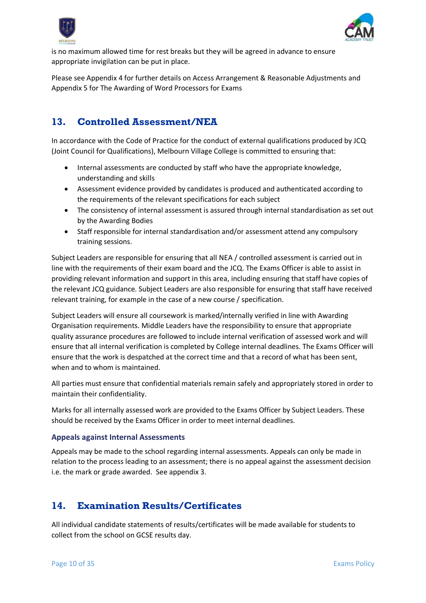



is no maximum allowed time for rest breaks but they will be agreed in advance to ensure appropriate invigilation can be put in place.

Please see Appendix 4 for further details on Access Arrangement & Reasonable Adjustments and Appendix 5 for The Awarding of Word Processors for Exams

# <span id="page-9-0"></span>**13. Controlled Assessment/NEA**

In accordance with the Code of Practice for the conduct of external qualifications produced by JCQ (Joint Council for Qualifications), Melbourn Village College is committed to ensuring that:

- Internal assessments are conducted by staff who have the appropriate knowledge, understanding and skills
- Assessment evidence provided by candidates is produced and authenticated according to the requirements of the relevant specifications for each subject
- The consistency of internal assessment is assured through internal standardisation as set out by the Awarding Bodies
- Staff responsible for internal standardisation and/or assessment attend any compulsory training sessions.

Subject Leaders are responsible for ensuring that all NEA / controlled assessment is carried out in line with the requirements of their exam board and the JCQ. The Exams Officer is able to assist in providing relevant information and support in this area, including ensuring that staff have copies of the relevant JCQ guidance. Subject Leaders are also responsible for ensuring that staff have received relevant training, for example in the case of a new course / specification.

Subject Leaders will ensure all coursework is marked/internally verified in line with Awarding Organisation requirements. Middle Leaders have the responsibility to ensure that appropriate quality assurance procedures are followed to include internal verification of assessed work and will ensure that all internal verification is completed by College internal deadlines. The Exams Officer will ensure that the work is despatched at the correct time and that a record of what has been sent, when and to whom is maintained.

All parties must ensure that confidential materials remain safely and appropriately stored in order to maintain their confidentiality.

Marks for all internally assessed work are provided to the Exams Officer by Subject Leaders. These should be received by the Exams Officer in order to meet internal deadlines.

# <span id="page-9-1"></span>**Appeals against Internal Assessments**

Appeals may be made to the school regarding internal assessments. Appeals can only be made in relation to the process leading to an assessment; there is no appeal against the assessment decision i.e. the mark or grade awarded. See appendix 3.

# <span id="page-9-2"></span>**14. Examination Results/Certificates**

All individual candidate statements of results/certificates will be made available for students to collect from the school on GCSE results day.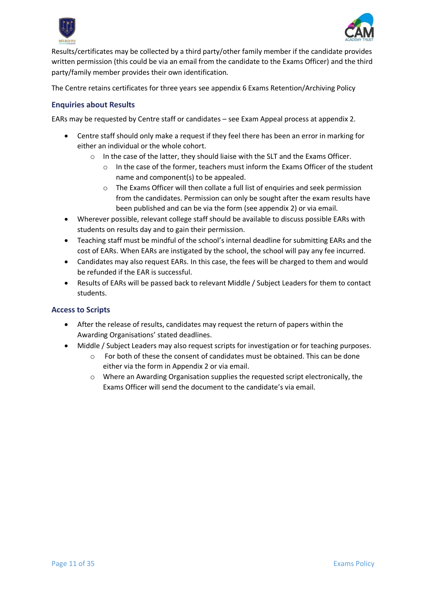



Results/certificates may be collected by a third party/other family member if the candidate provides written permission (this could be via an email from the candidate to the Exams Officer) and the third party/family member provides their own identification.

The Centre retains certificates for three years see appendix 6 Exams Retention/Archiving Policy

# <span id="page-10-0"></span>**Enquiries about Results**

EARs may be requested by Centre staff or candidates – see Exam Appeal process at appendix 2.

- Centre staff should only make a request if they feel there has been an error in marking for either an individual or the whole cohort.
	- $\circ$  In the case of the latter, they should liaise with the SLT and the Exams Officer.
		- In the case of the former, teachers must inform the Exams Officer of the student name and component(s) to be appealed.
		- o The Exams Officer will then collate a full list of enquiries and seek permission from the candidates. Permission can only be sought after the exam results have been published and can be via the form (see appendix 2) or via email.
- Wherever possible, relevant college staff should be available to discuss possible EARs with students on results day and to gain their permission.
- Teaching staff must be mindful of the school's internal deadline for submitting EARs and the cost of EARs. When EARs are instigated by the school, the school will pay any fee incurred.
- Candidates may also request EARs. In this case, the fees will be charged to them and would be refunded if the EAR is successful.
- Results of EARs will be passed back to relevant Middle / Subject Leaders for them to contact students.

# <span id="page-10-1"></span>**Access to Scripts**

- After the release of results, candidates may request the return of papers within the Awarding Organisations' stated deadlines.
- Middle / Subject Leaders may also request scripts for investigation or for teaching purposes.
	- o For both of these the consent of candidates must be obtained. This can be done either via the form in Appendix 2 or via email.
	- $\circ$  Where an Awarding Organisation supplies the requested script electronically, the Exams Officer will send the document to the candidate's via email.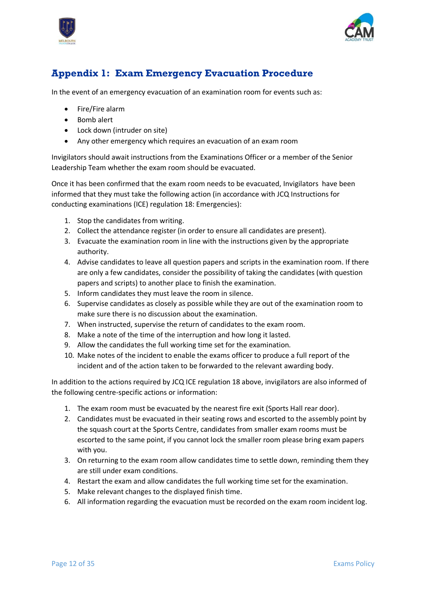



# <span id="page-11-0"></span>**Appendix 1: Exam Emergency Evacuation Procedure**

In the event of an emergency evacuation of an examination room for events such as:

- Fire/Fire alarm
- Bomb alert
- Lock down (intruder on site)
- Any other emergency which requires an evacuation of an exam room

Invigilators should await instructions from the Examinations Officer or a member of the Senior Leadership Team whether the exam room should be evacuated.

Once it has been confirmed that the exam room needs to be evacuated, Invigilators have been informed that they must take the following action (in accordance with JCQ Instructions for conducting examinations (ICE) regulation 18: Emergencies):

- 1. Stop the candidates from writing.
- 2. Collect the attendance register (in order to ensure all candidates are present).
- 3. Evacuate the examination room in line with the instructions given by the appropriate authority.
- 4. Advise candidates to leave all question papers and scripts in the examination room. If there are only a few candidates, consider the possibility of taking the candidates (with question papers and scripts) to another place to finish the examination.
- 5. Inform candidates they must leave the room in silence.
- 6. Supervise candidates as closely as possible while they are out of the examination room to make sure there is no discussion about the examination.
- 7. When instructed, supervise the return of candidates to the exam room.
- 8. Make a note of the time of the interruption and how long it lasted.
- 9. Allow the candidates the full working time set for the examination.
- 10. Make notes of the incident to enable the exams officer to produce a full report of the incident and of the action taken to be forwarded to the relevant awarding body.

In addition to the actions required by JCQ ICE regulation 18 above, invigilators are also informed of the following centre-specific actions or information:

- 1. The exam room must be evacuated by the nearest fire exit (Sports Hall rear door).
- 2. Candidates must be evacuated in their seating rows and escorted to the assembly point by the squash court at the Sports Centre, candidates from smaller exam rooms must be escorted to the same point, if you cannot lock the smaller room please bring exam papers with you.
- 3. On returning to the exam room allow candidates time to settle down, reminding them they are still under exam conditions.
- 4. Restart the exam and allow candidates the full working time set for the examination.
- 5. Make relevant changes to the displayed finish time.
- 6. All information regarding the evacuation must be recorded on the exam room incident log.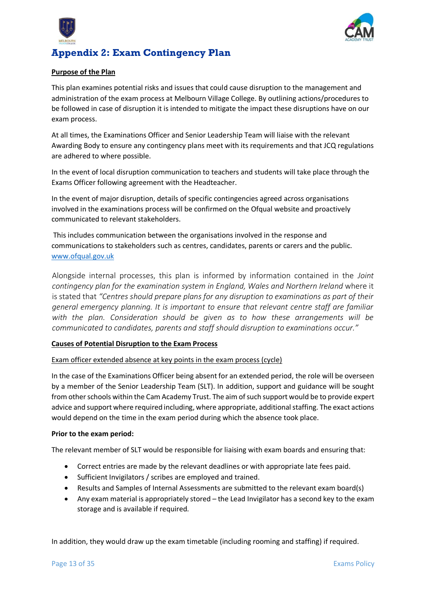



# <span id="page-12-0"></span>**Appendix 2: Exam Contingency Plan**

# **Purpose of the Plan**

This plan examines potential risks and issues that could cause disruption to the management and administration of the exam process at Melbourn Village College. By outlining actions/procedures to be followed in case of disruption it is intended to mitigate the impact these disruptions have on our exam process.

At all times, the Examinations Officer and Senior Leadership Team will liaise with the relevant Awarding Body to ensure any contingency plans meet with its requirements and that JCQ regulations are adhered to where possible.

In the event of local disruption communication to teachers and students will take place through the Exams Officer following agreement with the Headteacher.

In the event of major disruption, details of specific contingencies agreed across organisations involved in the examinations process will be confirmed on the Ofqual website and proactively communicated to relevant stakeholders.

This includes communication between the organisations involved in the response and communications to stakeholders such as centres, candidates, parents or carers and the public. www.ofqual.gov.uk

Alongside internal processes, this plan is informed by information contained in the *Joint contingency plan for the examination system in England, Wales and Northern Ireland* where it is stated that *"Centres should prepare plans for any disruption to examinations as part of their general emergency planning. It is important to ensure that relevant centre staff are familiar with the plan. Consideration should be given as to how these arrangements will be communicated to candidates, parents and staff should disruption to examinations occur."*

# **Causes of Potential Disruption to the Exam Process**

# Exam officer extended absence at key points in the exam process (cycle)

In the case of the Examinations Officer being absent for an extended period, the role will be overseen by a member of the Senior Leadership Team (SLT). In addition, support and guidance will be sought from other schools within the Cam Academy Trust. The aim of such support would be to provide expert advice and support where required including, where appropriate, additional staffing. The exact actions would depend on the time in the exam period during which the absence took place.

# **Prior to the exam period:**

The relevant member of SLT would be responsible for liaising with exam boards and ensuring that:

- Correct entries are made by the relevant deadlines or with appropriate late fees paid.
- Sufficient Invigilators / scribes are employed and trained.
- Results and Samples of Internal Assessments are submitted to the relevant exam board(s)
- Any exam material is appropriately stored the Lead Invigilator has a second key to the exam storage and is available if required.

In addition, they would draw up the exam timetable (including rooming and staffing) if required.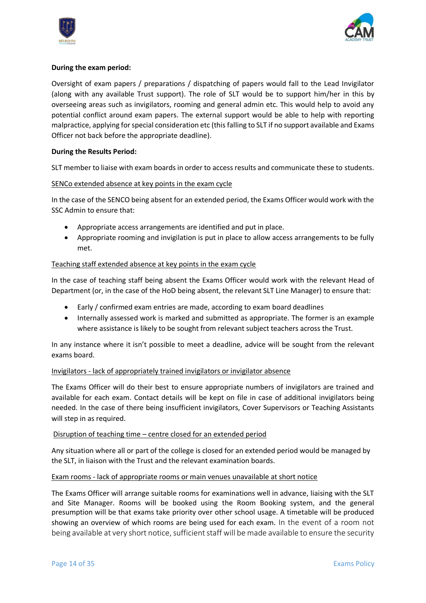



# **During the exam period:**

Oversight of exam papers / preparations / dispatching of papers would fall to the Lead Invigilator (along with any available Trust support). The role of SLT would be to support him/her in this by overseeing areas such as invigilators, rooming and general admin etc. This would help to avoid any potential conflict around exam papers. The external support would be able to help with reporting malpractice, applying for special consideration etc (this falling to SLT if no support available and Exams Officer not back before the appropriate deadline).

# **During the Results Period:**

SLT member to liaise with exam boards in order to access results and communicate these to students.

# SENCo extended absence at key points in the exam cycle

In the case of the SENCO being absent for an extended period, the Exams Officer would work with the SSC Admin to ensure that:

- Appropriate access arrangements are identified and put in place.
- Appropriate rooming and invigilation is put in place to allow access arrangements to be fully met.

# Teaching staff extended absence at key points in the exam cycle

In the case of teaching staff being absent the Exams Officer would work with the relevant Head of Department (or, in the case of the HoD being absent, the relevant SLT Line Manager) to ensure that:

- Early / confirmed exam entries are made, according to exam board deadlines
- Internally assessed work is marked and submitted as appropriate. The former is an example where assistance is likely to be sought from relevant subject teachers across the Trust.

In any instance where it isn't possible to meet a deadline, advice will be sought from the relevant exams board.

# Invigilators - lack of appropriately trained invigilators or invigilator absence

The Exams Officer will do their best to ensure appropriate numbers of invigilators are trained and available for each exam. Contact details will be kept on file in case of additional invigilators being needed. In the case of there being insufficient invigilators, Cover Supervisors or Teaching Assistants will step in as required.

# Disruption of teaching time – centre closed for an extended period

Any situation where all or part of the college is closed for an extended period would be managed by the SLT, in liaison with the Trust and the relevant examination boards.

# Exam rooms - lack of appropriate rooms or main venues unavailable at short notice

The Exams Officer will arrange suitable rooms for examinations well in advance, liaising with the SLT and Site Manager. Rooms will be booked using the Room Booking system, and the general presumption will be that exams take priority over other school usage. A timetable will be produced showing an overview of which rooms are being used for each exam. In the event of a room not being available at very short notice, sufficient staff will be made available to ensure the security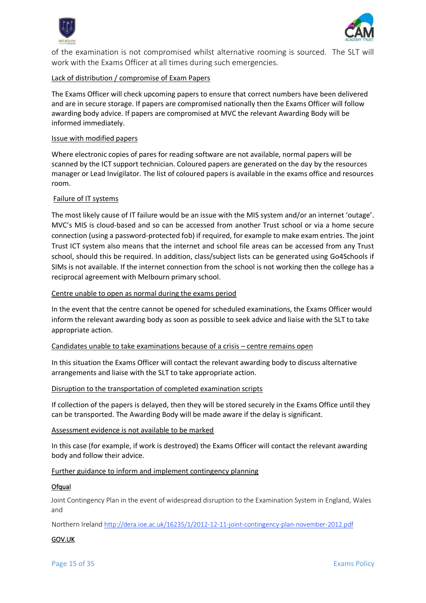



of the examination is not compromised whilst alternative rooming is sourced. The SLT will work with the Exams Officer at all times during such emergencies.

# Lack of distribution / compromise of Exam Papers

The Exams Officer will check upcoming papers to ensure that correct numbers have been delivered and are in secure storage. If papers are compromised nationally then the Exams Officer will follow awarding body advice. If papers are compromised at MVC the relevant Awarding Body will be informed immediately.

#### Issue with modified papers

Where electronic copies of pares for reading software are not available, normal papers will be scanned by the ICT support technician. Coloured papers are generated on the day by the resources manager or Lead Invigilator. The list of coloured papers is available in the exams office and resources room.

# Failure of IT systems

The most likely cause of IT failure would be an issue with the MIS system and/or an internet 'outage'. MVC's MIS is cloud-based and so can be accessed from another Trust school or via a home secure connection (using a password-protected fob) if required, for example to make exam entries. The joint Trust ICT system also means that the internet and school file areas can be accessed from any Trust school, should this be required. In addition, class/subject lists can be generated using Go4Schools if SIMs is not available. If the internet connection from the school is not working then the college has a reciprocal agreement with Melbourn primary school.

#### Centre unable to open as normal during the exams period

In the event that the centre cannot be opened for scheduled examinations, the Exams Officer would inform the relevant awarding body as soon as possible to seek advice and liaise with the SLT to take appropriate action.

#### Candidates unable to take examinations because of a crisis – centre remains open

In this situation the Exams Officer will contact the relevant awarding body to discuss alternative arrangements and liaise with the SLT to take appropriate action.

#### Disruption to the transportation of completed examination scripts

If collection of the papers is delayed, then they will be stored securely in the Exams Office until they can be transported. The Awarding Body will be made aware if the delay is significant.

#### Assessment evidence is not available to be marked

In this case (for example, if work is destroyed) the Exams Officer will contact the relevant awarding body and follow their advice.

#### Further guidance to inform and implement contingency planning

#### **Ofqual**

Joint Contingency Plan in the event of widespread disruption to the Examination System in England, Wales and

Northern Ireland <http://dera.ioe.ac.uk/16235/1/2012-12-11-joint-contingency-plan-november-2012.pdf>

# GOV.UK

Page 15 of 35 **Exams Policy Page 15 of 35**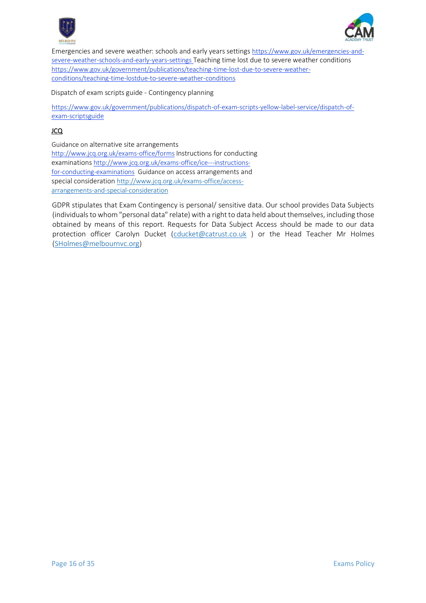



Emergencies and severe weather: schools and early years settings [https://www.gov.uk/emergencies-and](https://www.gov.uk/emergencies-and-severe-weather-schools-and-early-years-settings)[severe-weather-schools-and-early-years-settings](https://www.gov.uk/emergencies-and-severe-weather-schools-and-early-years-settings) Teaching time lost due to severe weather conditions [https://www.gov.uk/government/publications/teaching-time-lost-due-to-severe-weather](https://www.gov.uk/government/publications/teaching-time-lost-due-to-severe-weather-conditions/teaching-time-lostdue-to-severe-weather-conditions)[conditions/teaching-time-lostdue-to-severe-weather-conditions](https://www.gov.uk/government/publications/teaching-time-lost-due-to-severe-weather-conditions/teaching-time-lostdue-to-severe-weather-conditions)

Dispatch of exam scripts guide - Contingency planning

[https://www.gov.uk/government/publications/dispatch-of-exam-scripts-yellow-label-service/dispatch-of](https://www.gov.uk/government/publications/dispatch-of-exam-scripts-yellow-label-service/dispatch-of-exam-scriptsguide)[exam-scriptsguide](https://www.gov.uk/government/publications/dispatch-of-exam-scripts-yellow-label-service/dispatch-of-exam-scriptsguide)

# JCQ

Guidance on alternative site arrangements <http://www.jcq.org.uk/exams-office/forms> Instructions for conducting examinations [http://www.jcq.org.uk/exams-office/ice---instructions](http://www.jcq.org.uk/exams-office/ice---instructions-for-conducting-examinations)[for-conducting-examinations](http://www.jcq.org.uk/exams-office/ice---instructions-for-conducting-examinations) Guidance on access arrangements and special consideration [http://www.jcq.org.uk/exams-office/access](http://www.jcq.org.uk/exams-office/access-arrangements-and-special-consideration)[arrangements-and-special-consideration](http://www.jcq.org.uk/exams-office/access-arrangements-and-special-consideration)

GDPR stipulates that Exam Contingency is personal/ sensitive data. Our school provides Data Subjects (individuals to whom "personal data" relate) with a right to data held about themselves, including those obtained by means of this report. Requests for Data Subject Access should be made to our data protection officer Carolyn Ducket [\(cducket@catrust.co.uk](mailto:cducket@catrust.co.uk) ) or the Head Teacher Mr Holmes [\(SHolmes@melbournvc.org\)](mailto:SHolmes@melbournvc.org)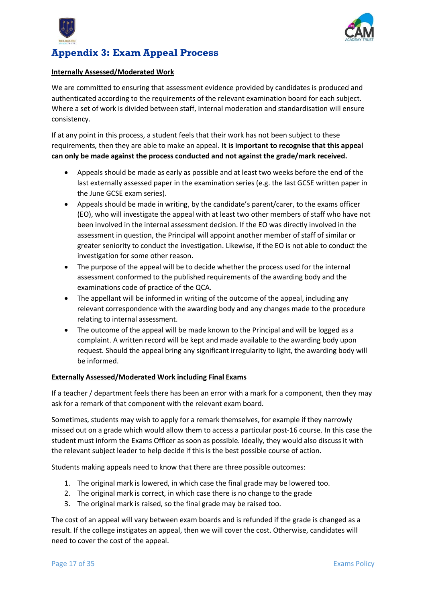



# <span id="page-16-0"></span>**Appendix 3: Exam Appeal Process**

# **Internally Assessed/Moderated Work**

We are committed to ensuring that assessment evidence provided by candidates is produced and authenticated according to the requirements of the relevant examination board for each subject. Where a set of work is divided between staff, internal moderation and standardisation will ensure consistency.

If at any point in this process, a student feels that their work has not been subject to these requirements, then they are able to make an appeal. **It is important to recognise that this appeal can only be made against the process conducted and not against the grade/mark received.**

- Appeals should be made as early as possible and at least two weeks before the end of the last externally assessed paper in the examination series (e.g. the last GCSE written paper in the June GCSE exam series).
- Appeals should be made in writing, by the candidate's parent/carer, to the exams officer (EO), who will investigate the appeal with at least two other members of staff who have not been involved in the internal assessment decision. If the EO was directly involved in the assessment in question, the Principal will appoint another member of staff of similar or greater seniority to conduct the investigation. Likewise, if the EO is not able to conduct the investigation for some other reason.
- The purpose of the appeal will be to decide whether the process used for the internal assessment conformed to the published requirements of the awarding body and the examinations code of practice of the QCA.
- The appellant will be informed in writing of the outcome of the appeal, including any relevant correspondence with the awarding body and any changes made to the procedure relating to internal assessment.
- The outcome of the appeal will be made known to the Principal and will be logged as a complaint. A written record will be kept and made available to the awarding body upon request. Should the appeal bring any significant irregularity to light, the awarding body will be informed.

# **Externally Assessed/Moderated Work including Final Exams**

If a teacher / department feels there has been an error with a mark for a component, then they may ask for a remark of that component with the relevant exam board.

Sometimes, students may wish to apply for a remark themselves, for example if they narrowly missed out on a grade which would allow them to access a particular post-16 course. In this case the student must inform the Exams Officer as soon as possible. Ideally, they would also discuss it with the relevant subject leader to help decide if this is the best possible course of action.

Students making appeals need to know that there are three possible outcomes:

- 1. The original mark is lowered, in which case the final grade may be lowered too.
- 2. The original mark is correct, in which case there is no change to the grade
- 3. The original mark is raised, so the final grade may be raised too.

The cost of an appeal will vary between exam boards and is refunded if the grade is changed as a result. If the college instigates an appeal, then we will cover the cost. Otherwise, candidates will need to cover the cost of the appeal.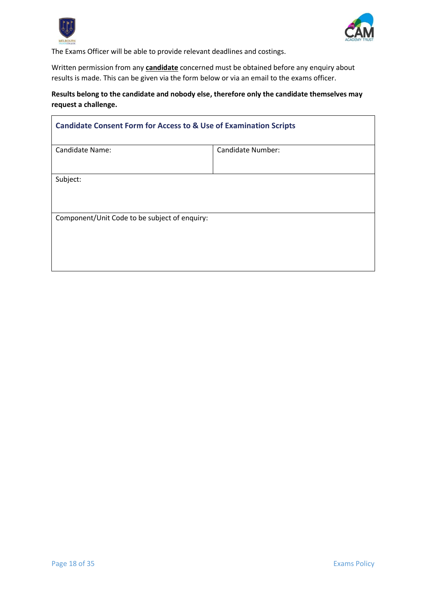



The Exams Officer will be able to provide relevant deadlines and costings.

Written permission from any **candidate** concerned must be obtained before any enquiry about results is made. This can be given via the form below or via an email to the exams officer.

# **Results belong to the candidate and nobody else, therefore only the candidate themselves may request a challenge.**

<span id="page-17-0"></span>

| <b>Candidate Consent Form for Access to &amp; Use of Examination Scripts</b> |                          |  |  |
|------------------------------------------------------------------------------|--------------------------|--|--|
| <b>Candidate Name:</b>                                                       | <b>Candidate Number:</b> |  |  |
|                                                                              |                          |  |  |
| Subject:                                                                     |                          |  |  |
|                                                                              |                          |  |  |
| Component/Unit Code to be subject of enquiry:                                |                          |  |  |
|                                                                              |                          |  |  |
|                                                                              |                          |  |  |
|                                                                              |                          |  |  |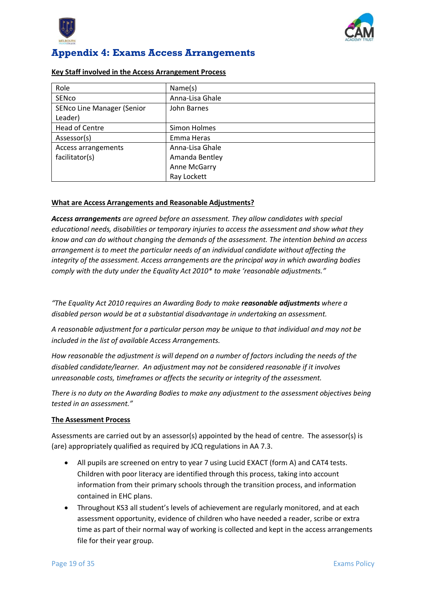



# <span id="page-18-0"></span>**Appendix 4: Exams Access Arrangements**

#### **Key Staff involved in the Access Arrangement Process**

| Role                              | Name(s)         |
|-----------------------------------|-----------------|
| SENco                             | Anna-Lisa Ghale |
| <b>SENco Line Manager (Senior</b> | John Barnes     |
| Leader)                           |                 |
| <b>Head of Centre</b>             | Simon Holmes    |
| Assessor(s)                       | Emma Heras      |
| Access arrangements               | Anna-Lisa Ghale |
| facilitator(s)                    | Amanda Bentley  |
|                                   | Anne McGarry    |
|                                   | Ray Lockett     |

# **What are Access Arrangements and Reasonable Adjustments?**

*Access arrangements are agreed before an assessment. They allow candidates with special educational needs, disabilities or temporary injuries to access the assessment and show what they know and can do without changing the demands of the assessment. The intention behind an access arrangement is to meet the particular needs of an individual candidate without affecting the integrity of the assessment. Access arrangements are the principal way in which awarding bodies comply with the duty under the Equality Act 2010\* to make 'reasonable adjustments."* 

*"The Equality Act 2010 requires an Awarding Body to make reasonable adjustments where a disabled person would be at a substantial disadvantage in undertaking an assessment.*

*A reasonable adjustment for a particular person may be unique to that individual and may not be included in the list of available Access Arrangements.*

*How reasonable the adjustment is will depend on a number of factors including the needs of the disabled candidate/learner. An adjustment may not be considered reasonable if it involves unreasonable costs, timeframes or affects the security or integrity of the assessment.*

*There is no duty on the Awarding Bodies to make any adjustment to the assessment objectives being tested in an assessment."* 

# **The Assessment Process**

Assessments are carried out by an assessor(s) appointed by the head of centre. The assessor(s) is (are) appropriately qualified as required by JCQ regulations in AA 7.3.

- All pupils are screened on entry to year 7 using Lucid EXACT (form A) and CAT4 tests. Children with poor literacy are identified through this process, taking into account information from their primary schools through the transition process, and information contained in EHC plans.
- Throughout KS3 all student's levels of achievement are regularly monitored, and at each assessment opportunity, evidence of children who have needed a reader, scribe or extra time as part of their normal way of working is collected and kept in the access arrangements file for their year group.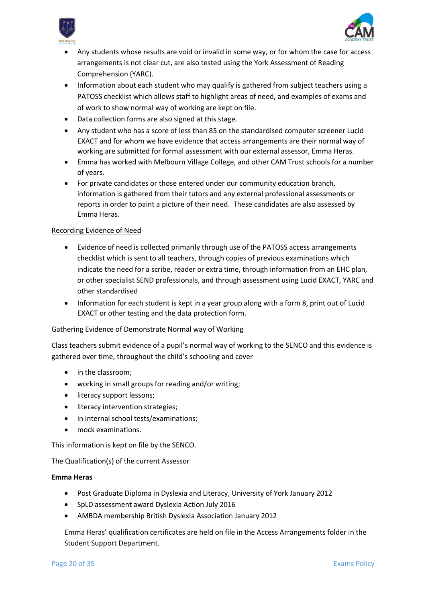



- Any students whose results are void or invalid in some way, or for whom the case for access arrangements is not clear cut, are also tested using the York Assessment of Reading Comprehension (YARC).
- Information about each student who may qualify is gathered from subject teachers using a PATOSS checklist which allows staff to highlight areas of need, and examples of exams and of work to show normal way of working are kept on file.
- Data collection forms are also signed at this stage.
- Any student who has a score of less than 85 on the standardised computer screener Lucid EXACT and for whom we have evidence that access arrangements are their normal way of working are submitted for formal assessment with our external assessor, Emma Heras.
- Emma has worked with Melbourn Village College, and other CAM Trust schools for a number of years.
- For private candidates or those entered under our community education branch, information is gathered from their tutors and any external professional assessments or reports in order to paint a picture of their need. These candidates are also assessed by Emma Heras.

# Recording Evidence of Need

- Evidence of need is collected primarily through use of the PATOSS access arrangements checklist which is sent to all teachers, through copies of previous examinations which indicate the need for a scribe, reader or extra time, through information from an EHC plan, or other specialist SEND professionals, and through assessment using Lucid EXACT, YARC and other standardised
- Information for each student is kept in a year group along with a form 8, print out of Lucid EXACT or other testing and the data protection form.

# Gathering Evidence of Demonstrate Normal way of Working

Class teachers submit evidence of a pupil's normal way of working to the SENCO and this evidence is gathered over time, throughout the child's schooling and cover

- in the classroom:
- working in small groups for reading and/or writing;
- literacy support lessons;
- literacy intervention strategies;
- in internal school tests/examinations;
- mock examinations.

This information is kept on file by the SENCO.

# The Qualification(s) of the current Assessor

# **Emma Heras**

- Post Graduate Diploma in Dyslexia and Literacy, University of York January 2012
- SpLD assessment award Dyslexia Action July 2016
- AMBDA membership British Dyslexia Association January 2012

Emma Heras' qualification certificates are held on file in the Access Arrangements folder in the Student Support Department.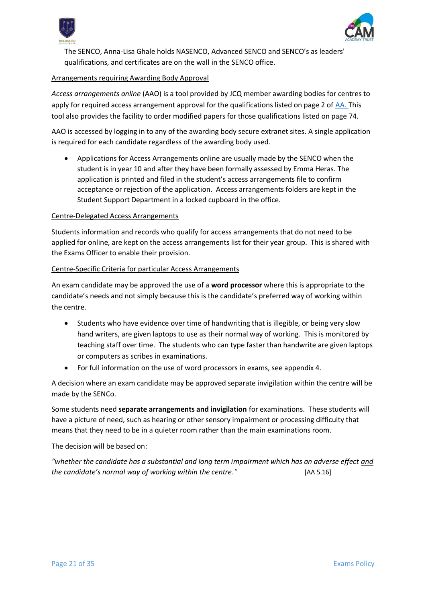



The SENCO, Anna-Lisa Ghale holds NASENCO, Advanced SENCO and SENCO's as leaders' qualifications, and certificates are on the wall in the SENCO office.

# Arrangements requiring Awarding Body Approval

*Access arrangements online* (AAO) is a tool provided by JCQ member awarding bodies for centres to apply for required access arrangement approval for the qualifications listed on page 2 of [AA.](http://www.jcq.org.uk/exams-office/access-arrangements-and-special-consideration/regulations-and-guidance) This tool also provides the facility to order modified papers for those qualifications listed on page 74.

AAO is accessed by logging in to any of the awarding body secure extranet sites. A single application is required for each candidate regardless of the awarding body used.

• Applications for Access Arrangements online are usually made by the SENCO when the student is in year 10 and after they have been formally assessed by Emma Heras. The application is printed and filed in the student's access arrangements file to confirm acceptance or rejection of the application. Access arrangements folders are kept in the Student Support Department in a locked cupboard in the office.

# Centre-Delegated Access Arrangements

Students information and records who qualify for access arrangements that do not need to be applied for online, are kept on the access arrangements list for their year group. This is shared with the Exams Officer to enable their provision.

# Centre-Specific Criteria for particular Access Arrangements

An exam candidate may be approved the use of a **word processor** where this is appropriate to the candidate's needs and not simply because this is the candidate's preferred way of working within the centre.

- Students who have evidence over time of handwriting that is illegible, or being very slow hand writers, are given laptops to use as their normal way of working. This is monitored by teaching staff over time. The students who can type faster than handwrite are given laptops or computers as scribes in examinations.
- For full information on the use of word processors in exams, see appendix 4.

A decision where an exam candidate may be approved separate invigilation within the centre will be made by the SENCo.

Some students need **separate arrangements and invigilation** for examinations. These students will have a picture of need, such as hearing or other sensory impairment or processing difficulty that means that they need to be in a quieter room rather than the main examinations room.

The decision will be based on:

*"whether the candidate has a substantial and long term impairment which has an adverse effect and the candidate's normal way of working within the centre."* [AA 5.16]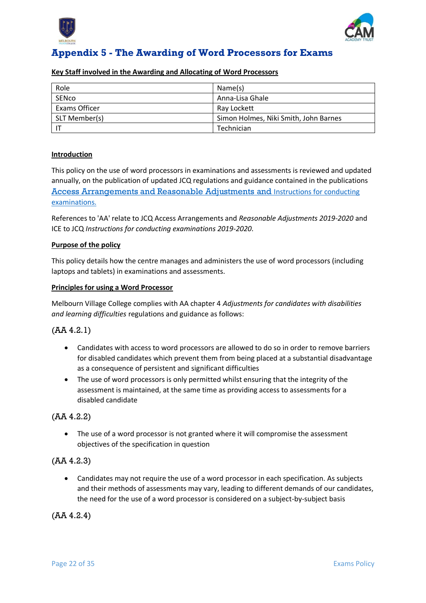



# <span id="page-21-0"></span>**Appendix 5 - The Awarding of Word Processors for Exams**

#### **Key Staff involved in the Awarding and Allocating of Word Processors**

| Role          | Name(s)                               |
|---------------|---------------------------------------|
| SENco         | Anna-Lisa Ghale                       |
| Exams Officer | Ray Lockett                           |
| SLT Member(s) | Simon Holmes, Niki Smith, John Barnes |
|               | Technician                            |

# **Introduction**

This policy on the use of word processors in examinations and assessments is reviewed and updated annually, on the publication of updated JCQ regulations and guidance contained in the publications [Access Arrangements and Reasonable Adjustments](http://www.jcq.org.uk/exams-office/access-arrangements-and-special-consideration/regulations-and-guidance) and [Instructions for conducting](http://www.jcq.org.uk/exams-office/ice---instructions-for-conducting-examinations)  [examinations.](http://www.jcq.org.uk/exams-office/ice---instructions-for-conducting-examinations) 

References to 'AA' relate to JCQ Access Arrangements and *Reasonable Adjustments 2019-2020* and ICE to JCQ *Instructions for conducting examinations 2019-2020*.

# **Purpose of the policy**

This policy details how the centre manages and administers the use of word processors (including laptops and tablets) in examinations and assessments.

#### **Principles for using a Word Processor**

Melbourn Village College complies with AA chapter 4 *Adjustments for candidates with disabilities and learning difficulties* regulations and guidance as follows:

# (AA 4.2.1)

- Candidates with access to word processors are allowed to do so in order to remove barriers for disabled candidates which prevent them from being placed at a substantial disadvantage as a consequence of persistent and significant difficulties
- The use of word processors is only permitted whilst ensuring that the integrity of the assessment is maintained, at the same time as providing access to assessments for a disabled candidate

# (AA 4.2.2)

• The use of a word processor is not granted where it will compromise the assessment objectives of the specification in question

# (AA 4.2.3)

• Candidates may not require the use of a word processor in each specification. As subjects and their methods of assessments may vary, leading to different demands of our candidates, the need for the use of a word processor is considered on a subject-by-subject basis

(AA 4.2.4)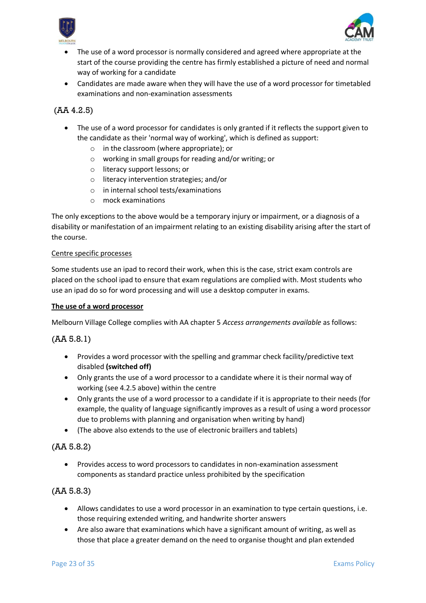



- The use of a word processor is normally considered and agreed where appropriate at the start of the course providing the centre has firmly established a picture of need and normal way of working for a candidate
- Candidates are made aware when they will have the use of a word processor for timetabled examinations and non-examination assessments

# (AA 4.2.5)

- The use of a word processor for candidates is only granted if it reflects the support given to the candidate as their 'normal way of working', which is defined as support:
	- o in the classroom (where appropriate); or
	- o working in small groups for reading and/or writing; or
	- o literacy support lessons; or
	- o literacy intervention strategies; and/or
	- o in internal school tests/examinations
	- o mock examinations

The only exceptions to the above would be a temporary injury or impairment, or a diagnosis of a disability or manifestation of an impairment relating to an existing disability arising after the start of the course.

#### Centre specific processes

Some students use an ipad to record their work, when this is the case, strict exam controls are placed on the school ipad to ensure that exam regulations are complied with. Most students who use an ipad do so for word processing and will use a desktop computer in exams.

# **The use of a word processor**

Melbourn Village College complies with AA chapter 5 *Access arrangements available* as follows:

# (AA 5.8.1)

- Provides a word processor with the spelling and grammar check facility/predictive text disabled **(switched off)**
- Only grants the use of a word processor to a candidate where it is their normal way of working (see 4.2.5 above) within the centre
- Only grants the use of a word processor to a candidate if it is appropriate to their needs (for example, the quality of language significantly improves as a result of using a word processor due to problems with planning and organisation when writing by hand)
- (The above also extends to the use of electronic braillers and tablets)

# (AA 5.8.2)

• Provides access to word processors to candidates in non-examination assessment components as standard practice unless prohibited by the specification

# (AA 5.8.3)

- Allows candidates to use a word processor in an examination to type certain questions, i.e. those requiring extended writing, and handwrite shorter answers
- Are also aware that examinations which have a significant amount of writing, as well as those that place a greater demand on the need to organise thought and plan extended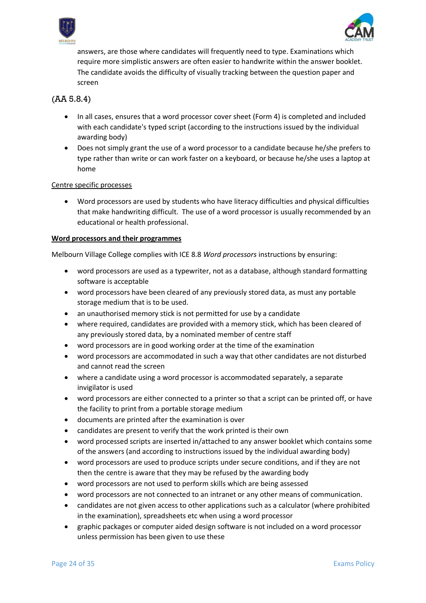



answers, are those where candidates will frequently need to type. Examinations which require more simplistic answers are often easier to handwrite within the answer booklet. The candidate avoids the difficulty of visually tracking between the question paper and screen

# (AA 5.8.4)

- In all cases, ensures that a word processor cover sheet (Form 4) is completed and included with each candidate's typed script (according to the instructions issued by the individual awarding body)
- Does not simply grant the use of a word processor to a candidate because he/she prefers to type rather than write or can work faster on a keyboard, or because he/she uses a laptop at home

# Centre specific processes

• Word processors are used by students who have literacy difficulties and physical difficulties that make handwriting difficult. The use of a word processor is usually recommended by an educational or health professional.

# **Word processors and their programmes**

Melbourn Village College complies with ICE 8.8 *Word processors* instructions by ensuring:

- word processors are used as a typewriter, not as a database, although standard formatting software is acceptable
- word processors have been cleared of any previously stored data, as must any portable storage medium that is to be used.
- an unauthorised memory stick is not permitted for use by a candidate
- where required, candidates are provided with a memory stick, which has been cleared of any previously stored data, by a nominated member of centre staff
- word processors are in good working order at the time of the examination
- word processors are accommodated in such a way that other candidates are not disturbed and cannot read the screen
- where a candidate using a word processor is accommodated separately, a separate invigilator is used
- word processors are either connected to a printer so that a script can be printed off, or have the facility to print from a portable storage medium
- documents are printed after the examination is over
- candidates are present to verify that the work printed is their own
- word processed scripts are inserted in/attached to any answer booklet which contains some of the answers (and according to instructions issued by the individual awarding body)
- word processors are used to produce scripts under secure conditions, and if they are not then the centre is aware that they may be refused by the awarding body
- word processors are not used to perform skills which are being assessed
- word processors are not connected to an intranet or any other means of communication.
- candidates are not given access to other applications such as a calculator (where prohibited in the examination), spreadsheets etc when using a word processor
- graphic packages or computer aided design software is not included on a word processor unless permission has been given to use these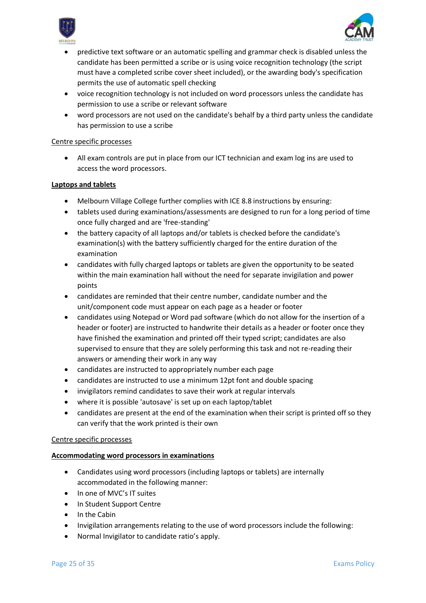



- predictive text software or an automatic spelling and grammar check is disabled unless the candidate has been permitted a scribe or is using voice recognition technology (the script must have a completed scribe cover sheet included), or the awarding body's specification permits the use of automatic spell checking
- voice recognition technology is not included on word processors unless the candidate has permission to use a scribe or relevant software
- word processors are not used on the candidate's behalf by a third party unless the candidate has permission to use a scribe

#### Centre specific processes

• All exam controls are put in place from our ICT technician and exam log ins are used to access the word processors.

# **Laptops and tablets**

- Melbourn Village College further complies with ICE 8.8 instructions by ensuring:
- tablets used during examinations/assessments are designed to run for a long period of time once fully charged and are 'free-standing'
- the battery capacity of all laptops and/or tablets is checked before the candidate's examination(s) with the battery sufficiently charged for the entire duration of the examination
- candidates with fully charged laptops or tablets are given the opportunity to be seated within the main examination hall without the need for separate invigilation and power points
- candidates are reminded that their centre number, candidate number and the unit/component code must appear on each page as a header or footer
- candidates using Notepad or Word pad software (which do not allow for the insertion of a header or footer) are instructed to handwrite their details as a header or footer once they have finished the examination and printed off their typed script; candidates are also supervised to ensure that they are solely performing this task and not re-reading their answers or amending their work in any way
- candidates are instructed to appropriately number each page
- candidates are instructed to use a minimum 12pt font and double spacing
- invigilators remind candidates to save their work at regular intervals
- where it is possible 'autosave' is set up on each laptop/tablet
- candidates are present at the end of the examination when their script is printed off so they can verify that the work printed is their own

#### Centre specific processes

# **Accommodating word processors in examinations**

- Candidates using word processors (including laptops or tablets) are internally accommodated in the following manner:
- In one of MVC's IT suites
- In Student Support Centre
- In the Cabin
- Invigilation arrangements relating to the use of word processors include the following:
- Normal Invigilator to candidate ratio's apply.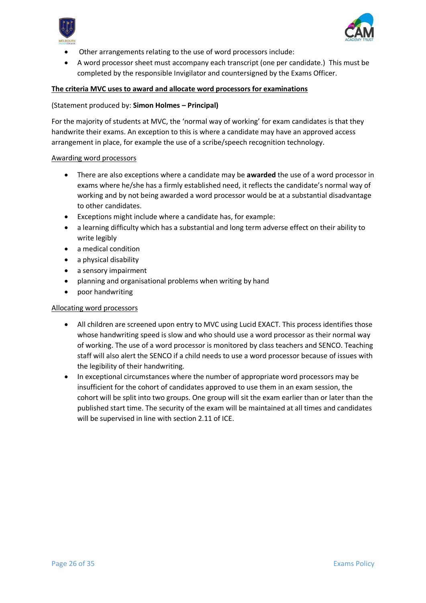



- Other arrangements relating to the use of word processors include:
- A word processor sheet must accompany each transcript (one per candidate.) This must be completed by the responsible Invigilator and countersigned by the Exams Officer.

# **The criteria MVC uses to award and allocate word processors for examinations**

#### (Statement produced by: **Simon Holmes – Principal)**

For the majority of students at MVC, the 'normal way of working' for exam candidates is that they handwrite their exams. An exception to this is where a candidate may have an approved access arrangement in place, for example the use of a scribe/speech recognition technology.

#### Awarding word processors

- There are also exceptions where a candidate may be **awarded** the use of a word processor in exams where he/she has a firmly established need, it reflects the candidate's normal way of working and by not being awarded a word processor would be at a substantial disadvantage to other candidates.
- Exceptions might include where a candidate has, for example:
- a learning difficulty which has a substantial and long term adverse effect on their ability to write legibly
- a medical condition
- a physical disability
- a sensory impairment
- planning and organisational problems when writing by hand
- poor handwriting

# Allocating word processors

- All children are screened upon entry to MVC using Lucid EXACT. This process identifies those whose handwriting speed is slow and who should use a word processor as their normal way of working. The use of a word processor is monitored by class teachers and SENCO. Teaching staff will also alert the SENCO if a child needs to use a word processor because of issues with the legibility of their handwriting.
- In exceptional circumstances where the number of appropriate word processors may be insufficient for the cohort of candidates approved to use them in an exam session, the cohort will be split into two groups. One group will sit the exam earlier than or later than the published start time. The security of the exam will be maintained at all times and candidates will be supervised in line with section 2.11 of ICE.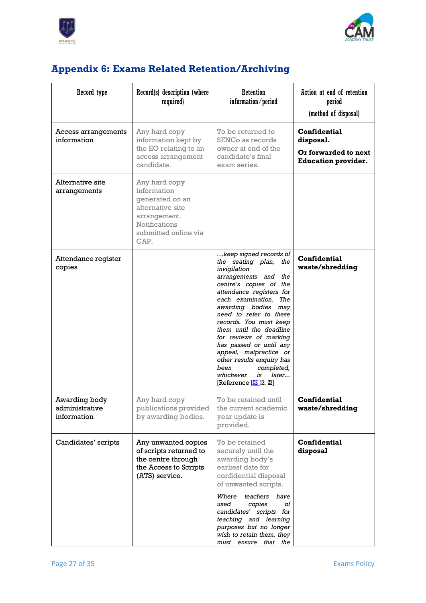



# <span id="page-26-0"></span>**Appendix 6: Exams Related Retention/Archiving**

| Record type                                    | Record(s) description (where<br>required)                                                                                                   | Retention<br>information/period                                                                                                                                                                                                                                                                                                                                                                                                                                             | Action at end of retention<br>period<br>(method of disposal)                           |
|------------------------------------------------|---------------------------------------------------------------------------------------------------------------------------------------------|-----------------------------------------------------------------------------------------------------------------------------------------------------------------------------------------------------------------------------------------------------------------------------------------------------------------------------------------------------------------------------------------------------------------------------------------------------------------------------|----------------------------------------------------------------------------------------|
| Access arrangements<br>information             | Any hard copy<br>information kept by<br>the EO relating to an<br>access arrangement<br>candidate.                                           | To be returned to<br>SENCo as records<br>owner at end of the<br>candidate's final<br>exam series.                                                                                                                                                                                                                                                                                                                                                                           | <b>Confidential</b><br>disposal.<br>Or forwarded to next<br><b>Education provider.</b> |
| Alternative site<br>arrangements               | Any hard copy<br>information<br>generated on an<br>alternative site<br>arrangement.<br><b>Notifications</b><br>submitted online via<br>CAP. |                                                                                                                                                                                                                                                                                                                                                                                                                                                                             |                                                                                        |
| Attendance register<br>copies                  |                                                                                                                                             | keep signed records of<br>the seating plan, the<br>invigilation<br>arrangements and the<br>centre's copies of the<br>attendance registers for<br>each examination. The<br>awarding bodies may<br>need to refer to these<br>records. You must keep<br>them until the deadline<br>for reviews of marking<br>has passed or until any<br>appeal, malpractice or<br>other results enquiry has<br>been<br>completed,<br>whichever<br>later<br>is<br>[Reference <u>ICE</u> 12, 22] | <b>Confidential</b><br>waste/shredding                                                 |
| Awarding body<br>administrative<br>information | Any hard copy<br>publications provided<br>by awarding bodies.                                                                               | To be retained until<br>the current academic<br>year update is<br>provided.                                                                                                                                                                                                                                                                                                                                                                                                 | <b>Confidential</b><br>waste/shredding                                                 |
| Candidates' scripts                            | Any unwanted copies<br>of scripts returned to<br>the centre through<br>the Access to Scripts<br>(ATS) service.                              | To be retained<br>securely until the<br>awarding body's<br>earliest date for<br>confidential disposal<br>of unwanted scripts.<br>Where<br>teachers<br>have<br>οf<br>used<br>copies<br>candidates' scripts for<br>teaching and learning<br>purposes but no longer<br>wish to retain them, they<br>must ensure that the                                                                                                                                                       | Confidential<br>disposal                                                               |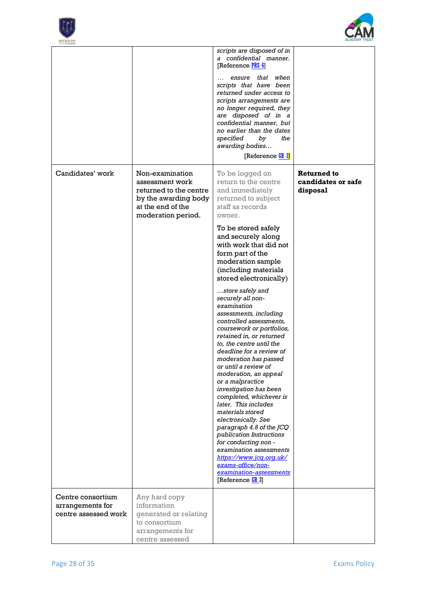



| <b>VILLAGE COLLEGE</b>                |                                                                                                                                 |                                                                                                                                                                                                                                                                                                                                                                                                                                                                                                                                                                                                                                                                                                                                                                                                                                                                                                                                                        |                                               |
|---------------------------------------|---------------------------------------------------------------------------------------------------------------------------------|--------------------------------------------------------------------------------------------------------------------------------------------------------------------------------------------------------------------------------------------------------------------------------------------------------------------------------------------------------------------------------------------------------------------------------------------------------------------------------------------------------------------------------------------------------------------------------------------------------------------------------------------------------------------------------------------------------------------------------------------------------------------------------------------------------------------------------------------------------------------------------------------------------------------------------------------------------|-----------------------------------------------|
|                                       |                                                                                                                                 | scripts are disposed of in<br>a confidential manner.<br>[Reference PRS 6]<br>ensure that when<br>scripts that have been<br>returned under access to<br>scripts arrangements are<br>no longer required, they<br>are disposed of in a<br>confidential manner, but<br>no earlier than the dates<br>specified<br>by<br>the<br>awarding bodies<br>[Reference <b>GR 3]</b>                                                                                                                                                                                                                                                                                                                                                                                                                                                                                                                                                                                   |                                               |
| Candidates' work                      | Non-examination<br>assessment work<br>returned to the centre<br>by the awarding body<br>at the end of the<br>moderation period. | To be logged on<br>return to the centre<br>and immediately<br>returned to subject<br>staff as records<br>owner.<br>To be stored safely<br>and securely along<br>with work that did not<br>form part of the<br>moderation sample<br>(including materials<br>stored electronically)<br>store safely and<br>securely all non-<br>examination<br>assessments, including<br>controlled assessments,<br>coursework or portfolios,<br>retained in, or returned<br>to, the centre until the<br>deadline for a review of<br>moderation has passed<br>or until a review of<br>moderation, an appeal<br>or a malpractice<br>investigation has been<br>completed, whichever is<br>later. This includes<br>materials stored<br>electronically. See<br>paragraph 4.8 of the JCQ<br>publication Instructions<br>for conducting non -<br>examination assessments<br>https://www.jcq.org.uk/<br>exams-office/non-<br>examination-assessments<br>[Reference <b>GR</b> 3] | Returned to<br>candidates or safe<br>disposal |
| Centre consortium<br>arrangements for | Any hard copy<br>information                                                                                                    |                                                                                                                                                                                                                                                                                                                                                                                                                                                                                                                                                                                                                                                                                                                                                                                                                                                                                                                                                        |                                               |
| centre assessed work                  | generated or relating<br>to consortium<br>arrangements for<br>centre assessed                                                   |                                                                                                                                                                                                                                                                                                                                                                                                                                                                                                                                                                                                                                                                                                                                                                                                                                                                                                                                                        |                                               |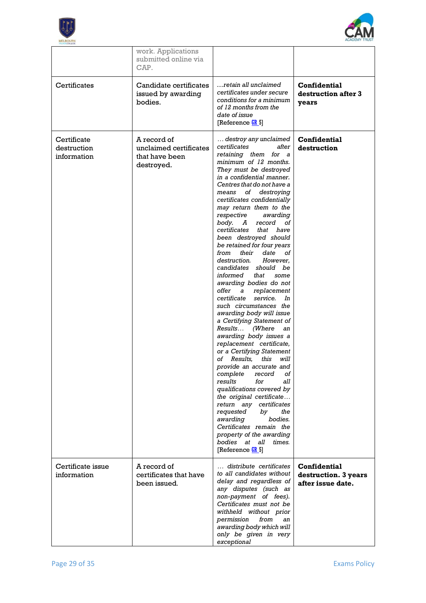



|                                           | work. Applications<br>submitted online via<br>CAP.                    |                                                                                                                                                                                                                                                                                                                                                                                                                                                                                                                                                                                                                                                                                                                                                                                                                                                                                                                                                                                                                                                                                                                                                                                |                                                           |
|-------------------------------------------|-----------------------------------------------------------------------|--------------------------------------------------------------------------------------------------------------------------------------------------------------------------------------------------------------------------------------------------------------------------------------------------------------------------------------------------------------------------------------------------------------------------------------------------------------------------------------------------------------------------------------------------------------------------------------------------------------------------------------------------------------------------------------------------------------------------------------------------------------------------------------------------------------------------------------------------------------------------------------------------------------------------------------------------------------------------------------------------------------------------------------------------------------------------------------------------------------------------------------------------------------------------------|-----------------------------------------------------------|
| Certificates                              | Candidate certificates<br>issued by awarding<br>bodies.               | retain all unclaimed<br>certificates under secure<br>conditions for a minimum<br>of 12 months from the<br>date of issue<br>[Reference <mark>GR</mark> _5]                                                                                                                                                                                                                                                                                                                                                                                                                                                                                                                                                                                                                                                                                                                                                                                                                                                                                                                                                                                                                      | <b>Confidential</b><br>destruction after 3<br>years       |
| Certificate<br>destruction<br>information | A record of<br>unclaimed certificates<br>that have been<br>destroyed. | destroy any unclaimed<br>certificates<br>after<br>retaining them for a<br>minimum of 12 months.<br>They must be destroyed<br>in a confidential manner.<br>Centres that do not have a<br>of destroying<br>means<br>certificates confidentially<br>may return them to the<br>respective awarding<br>body. A<br>record<br>οf<br>certificates<br>that have<br>been destroyed should<br>be retained for four years<br>from<br>their<br>date<br>οf<br>destruction.<br>However.<br>candidates should be<br>informed that<br>some<br>awarding bodies do not<br>offer a<br>replacement<br>service.<br>certificate<br>In<br>such circumstances the<br>awarding body will issue<br>a Certifying Statement of<br>Results…<br>(Where<br>an<br>awarding body issues a<br>replacement certificate,<br>or a Certifying Statement<br>Results.<br>this<br>will<br>of<br>provide an accurate and<br>complete<br>record<br>οf<br>results<br>for<br>all<br>qualifications covered by<br>the original certificate<br>return any certificates<br>requested<br>bv<br>the<br>awarding<br>bodies.<br>Certificates remain the<br>property of the awarding<br>bodies at all times.<br>$[Reference$ $6R$ 5] | <b>Confidential</b><br>destruction                        |
| Certificate issue<br>information          | A record of<br>certificates that have<br>been issued.                 | distribute certificates<br>to all candidates without<br>delay and regardless of<br>any disputes (such as<br>non-payment of fees).<br>Certificates must not be<br>withheld without prior<br>permission<br>from<br>an<br>awarding body which will<br>only be given in very<br>exceptional                                                                                                                                                                                                                                                                                                                                                                                                                                                                                                                                                                                                                                                                                                                                                                                                                                                                                        | Confidential<br>destruction. 3 years<br>after issue date. |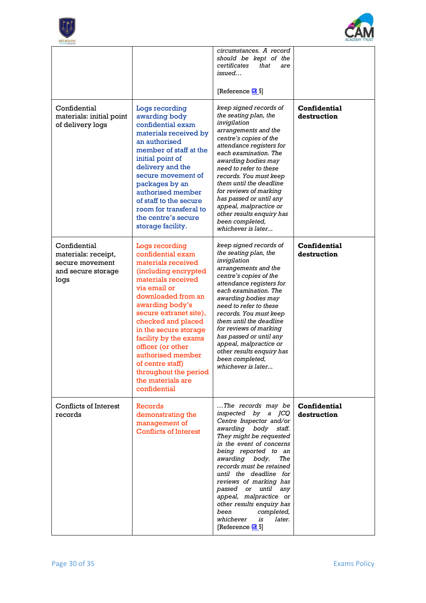



| <b>VILLAGECOLLEGE</b>                                                                |                                                                                                                                                                                                                                                                                                                                                                                                |                                                                                                                                                                                                                                                                                                                                                                                                                                                    |                                    |
|--------------------------------------------------------------------------------------|------------------------------------------------------------------------------------------------------------------------------------------------------------------------------------------------------------------------------------------------------------------------------------------------------------------------------------------------------------------------------------------------|----------------------------------------------------------------------------------------------------------------------------------------------------------------------------------------------------------------------------------------------------------------------------------------------------------------------------------------------------------------------------------------------------------------------------------------------------|------------------------------------|
|                                                                                      |                                                                                                                                                                                                                                                                                                                                                                                                | circumstances. A record<br>should be kept of the<br>certificates<br>that<br>are<br>issued<br>[Reference <b>GR</b> 5]                                                                                                                                                                                                                                                                                                                               |                                    |
| Confidential<br>materials: initial point<br>of delivery logs                         | Logs recording<br>awarding body<br>confidential exam<br>materials received by<br>an authorised<br>member of staff at the<br>initial point of<br>delivery and the<br>secure movement of<br>packages by an<br>authorised member<br>of staff to the secure<br>room for transferal to<br>the centre's secure<br>storage facility.                                                                  | keep signed records of<br>the seating plan, the<br>invigilation<br>arrangements and the<br>centre's copies of the<br>attendance registers for<br>each examination. The<br>awarding bodies may<br>need to refer to these<br>records. You must keep<br>them until the deadline<br>for reviews of marking<br>has passed or until any<br>appeal, malpractice or<br>other results enquiry has<br>been completed,<br>whichever is later                  | <b>Confidential</b><br>destruction |
| Confidential<br>materials: receipt,<br>secure movement<br>and secure storage<br>logs | Logs recording<br>confidential exam<br>materials received<br>(including encrypted<br>materials received<br>via email or<br>downloaded from an<br>awarding body's<br>secure extranet site),<br>checked and placed<br>in the secure storage<br>facility by the exams<br>officer (or other<br>authorised member<br>of centre staff)<br>throughout the period<br>the materials are<br>confidential | keep signed records of<br>the seating plan, the<br>invigilation<br>arrangements and the<br>centre's copies of the<br>attendance registers for<br>each examination. The<br>awarding bodies may<br>need to refer to these<br>records. You must keep<br>them until the deadline<br>for reviews of marking<br>has passed or until any<br>appeal, malpractice or<br>other results enquiry has<br>been completed,<br>whichever is later                  | <b>Confidential</b><br>destruction |
| Conflicts of Interest<br>records                                                     | Records<br>demonstrating the<br>management of<br><b>Conflicts of Interest</b>                                                                                                                                                                                                                                                                                                                  | The records may be<br>inspected by a JCQ<br>Centre Inspector and/or<br>awarding body<br>staff.<br>They might be requested<br>in the event of concerns<br>being reported to an<br>awarding body.<br>The<br>records must be retained<br>until the deadline for<br>reviews of marking has<br>passed or until any<br>appeal, malpractice or<br>other results enquiry has<br>been<br>completed,<br>whichever<br>is<br>later.<br>[Reference <b>GR</b> 5] | Confidential<br>destruction        |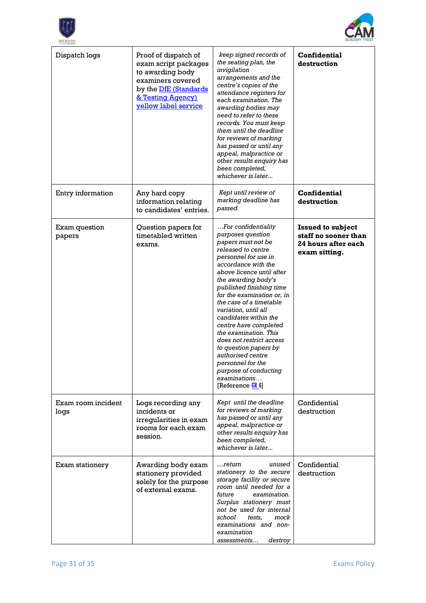



| Dispatch logs              | Proof of dispatch of<br>exam script packages<br>to awarding body<br>examiners covered<br>by the <b>DfE</b> (Standards<br>& Testing Agency)<br><b>yellow label service</b> | keep signed records of<br>the seating plan, the<br>invigilation<br>arrangements and the<br>centre's copies of the<br>attendance registers for<br>each examination. The<br>awarding bodies may<br>need to refer to these<br>records. You must keep<br>them until the deadline<br>for reviews of marking<br>has passed or until any<br>appeal, malpractice or<br>other results enquiry has<br>been completed,<br>whichever is later                                                                                                                  | Confidential<br>destruction                                                              |
|----------------------------|---------------------------------------------------------------------------------------------------------------------------------------------------------------------------|----------------------------------------------------------------------------------------------------------------------------------------------------------------------------------------------------------------------------------------------------------------------------------------------------------------------------------------------------------------------------------------------------------------------------------------------------------------------------------------------------------------------------------------------------|------------------------------------------------------------------------------------------|
| Entry information          | Any hard copy<br>information relating<br>to candidates' entries.                                                                                                          | Kept until review of<br>marking deadline has<br>passed.                                                                                                                                                                                                                                                                                                                                                                                                                                                                                            | <b>Confidential</b><br>destruction                                                       |
| Exam question<br>papers    | Question papers for<br>timetabled written<br>exams.                                                                                                                       | For confidentiality<br>purposes question<br>papers must not be<br>released to centre<br>personnel for use in<br>accordance with the<br>above licence until after<br>the awarding body's<br>published finishing time<br>for the examination or, in<br>the case of a timetable<br>variation, until all<br>candidates within the<br>centre have completed<br>the examination. This<br>does not restrict access<br>to question papers by<br>authorised centre<br>personnel for the<br>purpose of conducting<br>examinations<br>[Reference <b>GR</b> 6] | <b>Issued to subject</b><br>staff no sooner than<br>24 hours after each<br>exam sitting. |
| Exam room incident<br>logs | Logs recording any<br>incidents or<br>irregularities in exam<br>rooms for each exam<br>session.                                                                           | Kept until the deadline<br>for reviews of marking<br>has passed or until any<br>appeal, malpractice or<br>other results enquiry has<br>been completed,<br>whichever is later                                                                                                                                                                                                                                                                                                                                                                       | Confidential<br>destruction                                                              |
| Exam stationery            | Awarding body exam<br>stationery provided<br>solely for the purpose<br>of external exams.                                                                                 | $$ return<br>unused<br>stationery to the secure<br>storage facility or secure<br>room until needed for a<br>future<br>examination.<br>Surplus stationery must<br>not be used for internal<br>school<br>tests.<br>mock<br>examinations and non-<br>examination<br>assessments<br>destroy                                                                                                                                                                                                                                                            | Confidential<br>destruction                                                              |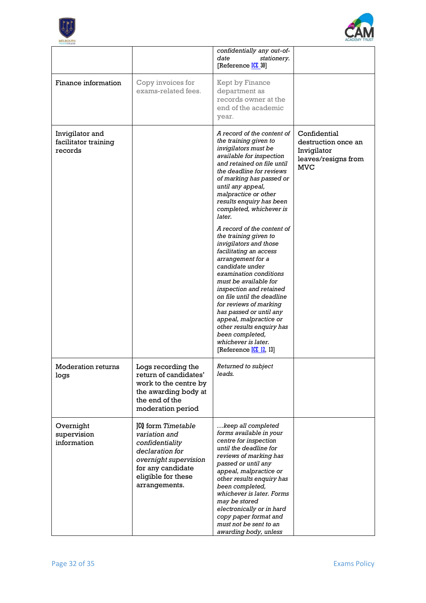



| <b>VILLAGE COLLEGE</b>                             |                                                                                                                                                                       |                                                                                                                                                                                                                                                                                                                                                                                                                                                                                                                                                                                                                                                                                                                                                                   |                                                                                         |
|----------------------------------------------------|-----------------------------------------------------------------------------------------------------------------------------------------------------------------------|-------------------------------------------------------------------------------------------------------------------------------------------------------------------------------------------------------------------------------------------------------------------------------------------------------------------------------------------------------------------------------------------------------------------------------------------------------------------------------------------------------------------------------------------------------------------------------------------------------------------------------------------------------------------------------------------------------------------------------------------------------------------|-----------------------------------------------------------------------------------------|
|                                                    |                                                                                                                                                                       | confidentially any out-of-<br>date<br>stationery.<br>[Reference <b>ICE</b> _30]                                                                                                                                                                                                                                                                                                                                                                                                                                                                                                                                                                                                                                                                                   |                                                                                         |
| Finance information                                | Copy invoices for<br>exams-related fees.                                                                                                                              | Kept by Finance<br>department as<br>records owner at the<br>end of the academic<br>year.                                                                                                                                                                                                                                                                                                                                                                                                                                                                                                                                                                                                                                                                          |                                                                                         |
| Invigilator and<br>facilitator training<br>records |                                                                                                                                                                       | A record of the content of<br>the training given to<br>invigilators must be<br>available for inspection<br>and retained on file until<br>the deadline for reviews<br>of marking has passed or<br>until any appeal,<br>malpractice or other<br>results enquiry has been<br>completed, whichever is<br>later.<br>A record of the content of<br>the training given to<br>invigilators and those<br>facilitating an access<br>arrangement for a<br>candidate under<br>examination conditions<br>must be available for<br>inspection and retained<br>on file until the deadline<br>for reviews of marking<br>has passed or until any<br>appeal, malpractice or<br>other results enquiry has<br>been completed,<br>whichever is later.<br>[Reference <b>ICE 12, 13]</b> | Confidential<br>destruction once an<br>Invigilator<br>leaves/resigns from<br><b>MVC</b> |
| <b>Moderation returns</b><br>logs                  | Logs recording the<br>return of candidates'<br>work to the centre by<br>the awarding body at<br>the end of the<br>moderation period                                   | Returned to subject<br>leads.                                                                                                                                                                                                                                                                                                                                                                                                                                                                                                                                                                                                                                                                                                                                     |                                                                                         |
| Overnight<br>supervision<br>information            | <b>JCQ</b> form Timetable<br>variation and<br>confidentiality<br>declaration for<br>overnight supervision<br>for any candidate<br>eligible for these<br>arrangements. | keep all completed<br>forms available in your<br>centre for inspection<br>until the deadline for<br>reviews of marking has<br>passed or until any<br>appeal, malpractice or<br>other results enquiry has<br>been completed,<br>whichever is later. Forms<br>may be stored<br>electronically or in hard<br>copy paper format and<br>must not be sent to an<br>awarding body, unless                                                                                                                                                                                                                                                                                                                                                                                |                                                                                         |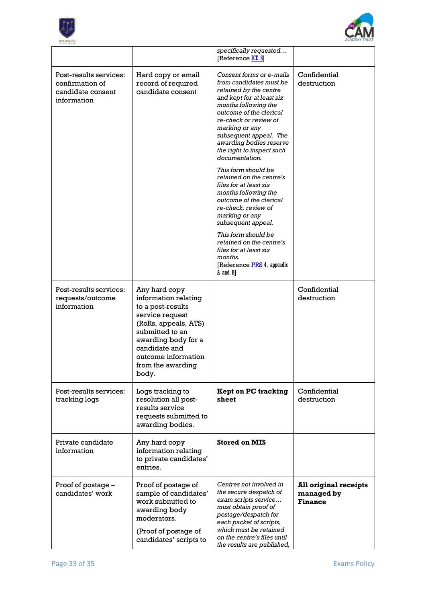



|                                                                               |                                                                                                                                                                                                                       | specifically requested<br>[Reference ICE 8]                                                                                                                                                                                                                                                                  |                                                              |
|-------------------------------------------------------------------------------|-----------------------------------------------------------------------------------------------------------------------------------------------------------------------------------------------------------------------|--------------------------------------------------------------------------------------------------------------------------------------------------------------------------------------------------------------------------------------------------------------------------------------------------------------|--------------------------------------------------------------|
| Post-results services:<br>confirmation of<br>candidate consent<br>information | Hard copy or email<br>record of required<br>candidate consent                                                                                                                                                         | Consent forms or e-mails<br>from candidates must be<br>retained by the centre<br>and kept for at least six<br>months following the<br>outcome of the clerical<br>re-check or review of<br>marking or any<br>subsequent appeal. The<br>awarding bodies reserve<br>the right to inspect such<br>documentation. | Confidential<br>destruction                                  |
|                                                                               |                                                                                                                                                                                                                       | This form should be<br>retained on the centre's<br>files for at least six<br>months following the<br>outcome of the clerical<br>re-check, review of<br>marking or any<br>subsequent appeal.                                                                                                                  |                                                              |
|                                                                               |                                                                                                                                                                                                                       | This form should be<br>retained on the centre's<br>files for at least six<br>months.<br>[Reference PRS 4, appendix<br>A and B]                                                                                                                                                                               |                                                              |
| Post-results services:<br>requests/outcome<br>information                     | Any hard copy<br>information relating<br>to a post-results<br>service request<br>(RoRs, appeals, ATS)<br>submitted to an<br>awarding body for a<br>candidate and<br>outcome information<br>from the awarding<br>body. |                                                                                                                                                                                                                                                                                                              | Confidential<br>destruction                                  |
| Post-results services:<br>tracking logs                                       | Logs tracking to<br>resolution all post-<br>results service<br>requests submitted to<br>awarding bodies.                                                                                                              | <b>Kept on PC tracking</b><br>sheet                                                                                                                                                                                                                                                                          | Confidential<br>destruction                                  |
| Private candidate<br>information                                              | Any hard copy<br>information relating<br>to private candidates'<br>entries.                                                                                                                                           | <b>Stored on MIS</b>                                                                                                                                                                                                                                                                                         |                                                              |
| Proof of postage -<br>candidates' work                                        | Proof of postage of<br>sample of candidates'<br>work submitted to<br>awarding body<br>moderators.<br>(Proof of postage of<br>candidates' scripts to                                                                   | Centres not involved in<br>the secure despatch of<br>exam scripts service<br>must obtain proof of<br>postage/despatch for<br>each packet of scripts,<br>which must be retained<br>on the centre's files until<br>the results are published,                                                                  | <b>All original receipts</b><br>managed by<br><b>Finance</b> |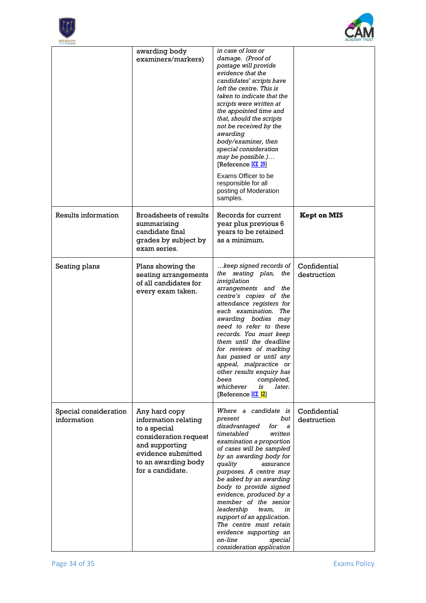



| VILLAGECOLLEGE                       |                                                                                                                                                                   |                                                                                                                                                                                                                                                                                                                                                                                                                                                                                                             |                             |
|--------------------------------------|-------------------------------------------------------------------------------------------------------------------------------------------------------------------|-------------------------------------------------------------------------------------------------------------------------------------------------------------------------------------------------------------------------------------------------------------------------------------------------------------------------------------------------------------------------------------------------------------------------------------------------------------------------------------------------------------|-----------------------------|
|                                      | awarding body<br>examiners/markers)                                                                                                                               | in case of loss or<br>damage. (Proof of<br>postage will provide<br>evidence that the<br>candidates' scripts have<br>left the centre. This is<br>taken to indicate that the<br>scripts were written at<br>the appointed time and<br>that, should the scripts<br>not be received by the<br>awarding<br>body/examiner, then<br>special consideration<br>may be possible.)<br>[Reference ICE 29]<br>Exams Officer to be<br>responsible for all<br>posting of Moderation<br>samples.                             |                             |
| Results information                  | <b>Broadsheets of results</b><br>summarising<br>candidate final<br>grades by subject by<br>exam series.                                                           | Records for current<br>year plus previous 6<br>years to be retained<br>as a minimum.                                                                                                                                                                                                                                                                                                                                                                                                                        | <b>Kept on MIS</b>          |
| Seating plans                        | Plans showing the<br>seating arrangements<br>of all candidates for<br>every exam taken.                                                                           | keep signed records of<br>the seating plan,<br>the<br>invigilation<br>arrangements and the<br>centre's copies of the<br>attendance registers for<br>each examination. The<br>awarding bodies may<br>need to refer to these<br>records. You must keep<br>them until the deadline<br>for reviews of marking<br>has passed or until any<br>appeal, malpractice or<br>other results enquiry has<br>been<br>completed,<br>whichever<br>later.<br>is<br>[Reference ICE 12]                                        | Confidential<br>destruction |
| Special consideration<br>information | Any hard copy<br>information relating<br>to a special<br>consideration request<br>and supporting<br>evidence submitted<br>to an awarding body<br>for a candidate. | Where a candidate is<br>but<br>present<br>disadvantaged<br>for<br>a<br>timetabled<br>written<br>examination a proportion<br>of cases will be sampled<br>by an awarding body for<br>quality<br>assurance<br>purposes. A centre may<br>be asked by an awarding<br>body to provide signed<br>evidence, produced by a<br>member of the senior<br>leadership<br>team,<br>in<br>support of an application.<br>The centre must retain<br>evidence supporting an<br>on-line<br>special<br>consideration application | Confidential<br>destruction |